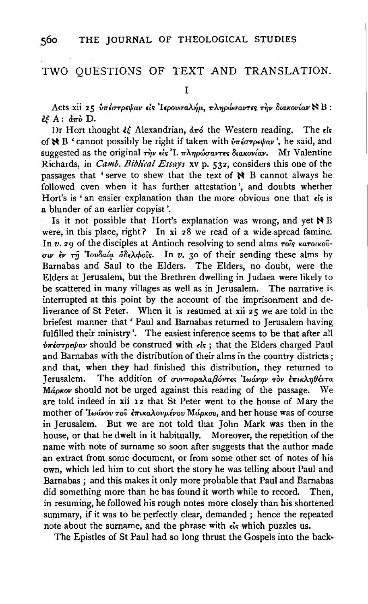## TWO QUESTIONS OF TEXT AND TRANSLATION.

I

Acts xii 25 *υπέστρεψαν είς 'Ιερουσαλήμ, πληρώσαντες την διακονίαν* ΝΒ:  $i \in A: d\pi\delta$  D.

Dr Hort thought  $\zeta \xi$  Alexandrian,  $d\pi \delta$  the Western reading. The  $\zeta \zeta$ of  $\angle B$  ' cannot possibly be right if taken with  $\delta \pi \epsilon \sigma \tau \rho \epsilon \psi a \nu'$ , he said, and suggested as the original *την* είς 'I. *πληρώσαντες διακονίαν*. Mr Valentine Richards, in *Camb. Biblical Essays* xv p. 532, considers this one of the passages that ' serve to shew that the text of  $\aleph$  B cannot always be followed even when it has further attestation', and doubts whether Hort's is ' an easier explanation than the more obvious one that  $\epsilon$ 's is a blunder of an earlier copyist'.

Is it not possible that Hort's explanation was wrong, and yet  $\bigstar$  B were, in this place, right? In xi 28 we read of a wide-spread famine. In *v.* 29 of the disciples at Antioch resolving to send alms *roîs κατοικού*- $\sigma v$  *iv*  $\tau \hat{\eta}$  *'Iovoaia doeApois.* In *v.* 30 of their sending these alms by Barnabas and Saul to the Elders. The Elders, no doubt, were the Elders at Jerusalem, but the Brethren dwelling in Judaea were likely to be scattered in many villages as well as in Jerusalem. The narrative is interrupted at this point by the account of the imprisonment and deliverance of St Peter. When it is resumed at xii 25 we are told in the briefest manner that' Paul and Barnabas returned to Jerusalem having fulfilled their ministry'. The easiest inference seems to be that after all *νπέστρεψαν* should be construed with είς; that the Elders charged Paul and Barnabas with the distribution of their alms in the country districts ; and that, when they had finished this distribution, they returned to Jerusalem. The addition of *συνπαραλαβόντες 'Iwάνην τον έπικληθέντα Mάρκον* should not be urged against this reading of the passage. We are told indeed in xii 12 that St Peter went to the house of Mary the mother of *Ιωάνου του επικαλουμένου* Μάρκου, and her house was of course in Jerusalem. But we are not told that John Mark was then in the house, or that he dwelt in it habitually. Moreover, the repetition of the name with note of surname so soon after suggests that the author made an extract from some document, or from some other set of notes of his own, which led him to cut short the story he was telling about Paul and Barnabas ; and this makes it only more probable that Paul and Barnabas did something more than he has found it worth while to record. Then, in resuming, he followed his rough notes more closely than his shortened summary, if it was to be perfectly clear, demanded ; hence the repeated note about the surname, and the phrase with *<i>i***'s** which puzzles us.

The Epistles of St Paul had so long thrust the Gospels into the back·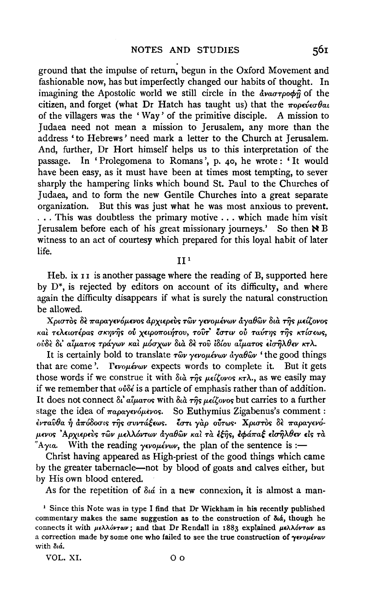ground that the impulse of return, begun in the Oxford Movement and fashionable now, has but imperfectly changed our habits of thought. In imagining the Apostolic world we still circle in the  $d\theta$ *xa* $\tau$ *po* $\phi \hat{\eta}$  of the citizen, and forget (what Dr Hatch has taught us) that the  $\pi$ opever  $\theta$ au of the villagers was the 'Way' of the primitive disciple. A mission to Judaea need not mean a mission to Jerusalem, any more than the address ' to Hebrews' need mark a letter to the Church at Jerusalem. And, further, Dr Hort himself helps us to this interpretation of the passage. In 'Prolegomena to Romans', p. 40, he wrote: 'It would have been easy, as it must have been at times most tempting, to sever sharply the hampering links which bound St. Paul to the Churches of Judaea, and to form the new Gentile Churches into a great separate organization. But this was just what he was most anxious to prevent. ... This was doubtless the primary motive ... which made him visit Jerusalem before each of his great missionary journeys.' So then  $\aleph B$ witness to an act of courtesy which prepared for this loyal habit of later life.

## $II<sup>1</sup>$

Heb. ix II is another passage where the reading of B, supported here by  $D^*$ , is rejected by editors on account of its difficulty, and where again the difficulty disappears if what is surely the natural construction be allowed.

Χριστός δε παραγενόμενος άρχιερεύς των γενομένων άγαθων δια της μείζονος και τελειοτέρας σκηνής ού χειροποιήτου, τουτ' έστιν ού ταύτης της κτίσεως, ούδε δι' αίματος τράγων και μόσχων δια δε του ιδίου αίματος εισήλθεν κτλ.

It is certainly bold to translate  $\tau \hat{\omega} \nu \gamma \epsilon \nu \omega \mu \epsilon \nu \omega \nu \frac{d}{d\gamma} \omega \hat{\omega} \nu$  'the good things that are come'. Tevouévov expects words to complete it. But it gets those words if we construe it with  $\delta t \hat{a}$   $\tau \hat{n} s$   $\mu \epsilon \hat{i} \hat{\zeta} \hat{\sigma} \hat{\sigma} s$   $\kappa \tau \lambda$ . as we easily may if we remember that  $\omega\delta\epsilon$  is a particle of emphasis rather than of addition. It does not connect δι' αίματος with διά της μείζονος but carries to a further stage the idea of  $\pi a \rho a \gamma \epsilon \nu \delta \mu \epsilon \nu \sigma s$ . So Euthymius Zigabenus's comment: ένταυθα ή απόδοσις της συντάξεως. έστι γαρ ούτως· Χριστός δε παραγενόμενος Αρχιερεύς των μελλόντων άγαθών και τα έξης, εφάπαξ εισηλθεν είς τα "Ayia. With the reading yevousively, the plan of the sentence is :-

Christ having appeared as High-priest of the good things which came by the greater tabernacle-not by blood of goats and calves either, but by His own blood entered.

As for the repetition of  $\delta u \phi$  in a new connexion, it is almost a man-

<sup>1</sup> Since this Note was in type I find that Dr Wickham in his recently published commentary makes the same suggestion as to the construction of  $\delta u \dot{a}$ , though he connects it with  $\mu \epsilon \lambda \lambda \dot{\omega} r \omega \nu$ ; and that Dr Rendall in 1883 explained  $\mu \epsilon \lambda \lambda \dot{\omega} r \omega \nu$  as a correction made by some one who failed to see the true construction of yevouevav with diá.

VOL. XI.